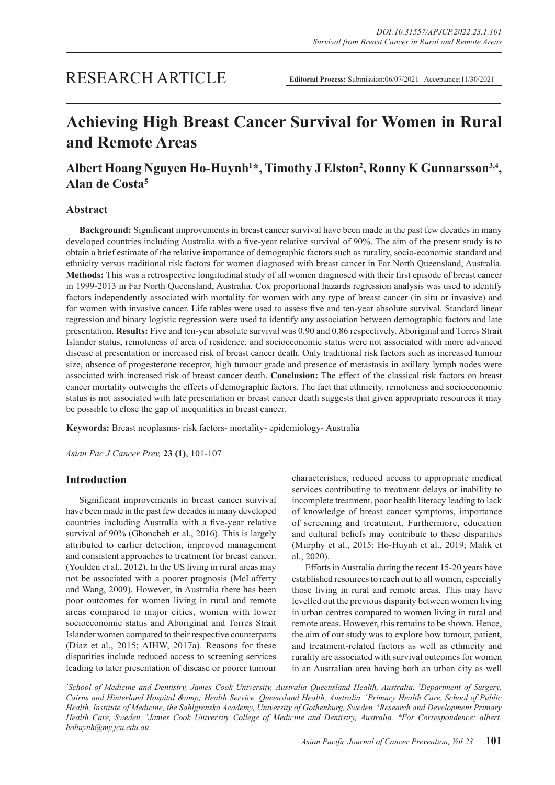# **Achieving High Breast Cancer Survival for Women in Rural and Remote Areas**

## Albert Hoang Nguyen Ho-Huynh<sup>1\*</sup>, Timothy J Elston<sup>2</sup>, Ronny K Gunnarsson<sup>3,4</sup>, **Alan de Costa5**

## **Abstract**

**Background:** Significant improvements in breast cancer survival have been made in the past few decades in many developed countries including Australia with a five-year relative survival of 90%. The aim of the present study is to obtain a brief estimate of the relative importance of demographic factors such as rurality, socio-economic standard and ethnicity versus traditional risk factors for women diagnosed with breast cancer in Far North Queensland, Australia. **Methods:** This was a retrospective longitudinal study of all women diagnosed with their first episode of breast cancer in 1999-2013 in Far North Queensland, Australia. Cox proportional hazards regression analysis was used to identify factors independently associated with mortality for women with any type of breast cancer (in situ or invasive) and for women with invasive cancer. Life tables were used to assess five and ten-year absolute survival. Standard linear regression and binary logistic regression were used to identify any association between demographic factors and late presentation. **Results:** Five and ten-year absolute survival was 0.90 and 0.86 respectively. Aboriginal and Torres Strait Islander status, remoteness of area of residence, and socioeconomic status were not associated with more advanced disease at presentation or increased risk of breast cancer death. Only traditional risk factors such as increased tumour size, absence of progesterone receptor, high tumour grade and presence of metastasis in axillary lymph nodes were associated with increased risk of breast cancer death. **Conclusion:** The effect of the classical risk factors on breast cancer mortality outweighs the effects of demographic factors. The fact that ethnicity, remoteness and socioeconomic status is not associated with late presentation or breast cancer death suggests that given appropriate resources it may be possible to close the gap of inequalities in breast cancer.

**Keywords:** Breast neoplasms- risk factors- mortality- epidemiology- Australia

*Asian Pac J Cancer Prev,* **23 (1)**, 101-107

## **Introduction**

Significant improvements in breast cancer survival have been made in the past few decades in many developed countries including Australia with a five-year relative survival of 90% (Ghoncheh et al., 2016). This is largely attributed to earlier detection, improved management and consistent approaches to treatment for breast cancer. (Youlden et al., 2012). In the US living in rural areas may not be associated with a poorer prognosis (McLafferty and Wang, 2009). However, in Australia there has been poor outcomes for women living in rural and remote areas compared to major cities, women with lower socioeconomic status and Aboriginal and Torres Strait Islander women compared to their respective counterparts (Diaz et al., 2015; AIHW, 2017a). Reasons for these disparities include reduced access to screening services leading to later presentation of disease or poorer tumour characteristics, reduced access to appropriate medical services contributing to treatment delays or inability to incomplete treatment, poor health literacy leading to lack of knowledge of breast cancer symptoms, importance of screening and treatment. Furthermore, education and cultural beliefs may contribute to these disparities (Murphy et al., 2015; Ho-Huynh et al., 2019; Malik et al., 2020).

Efforts in Australia during the recent 15-20 years have established resources to reach out to all women, especially those living in rural and remote areas. This may have levelled out the previous disparity between women living in urban centres compared to women living in rural and remote areas. However, this remains to be shown. Hence, the aim of our study was to explore how tumour, patient, and treatment-related factors as well as ethnicity and rurality are associated with survival outcomes for women in an Australian area having both an urban city as well

*1 School of Medicine and Dentistry, James Cook University, Australia Queensland Health, Australia. 2 Department of Surgery,*  Cairns and Hinterland Hospital & Health Service, Queensland Health, Australia. <sup>3</sup>Primary Health Care, School of Public *Health, Institute of Medicine, the Sahlgrenska Academy, University of Gothenburg, Sweden. 4 Research and Development Primary Health Care, Sweden. 5 James Cook University College of Medicine and Dentistry, Australia. \*For Correspondence: albert. hohuynh@my.jcu.edu.au*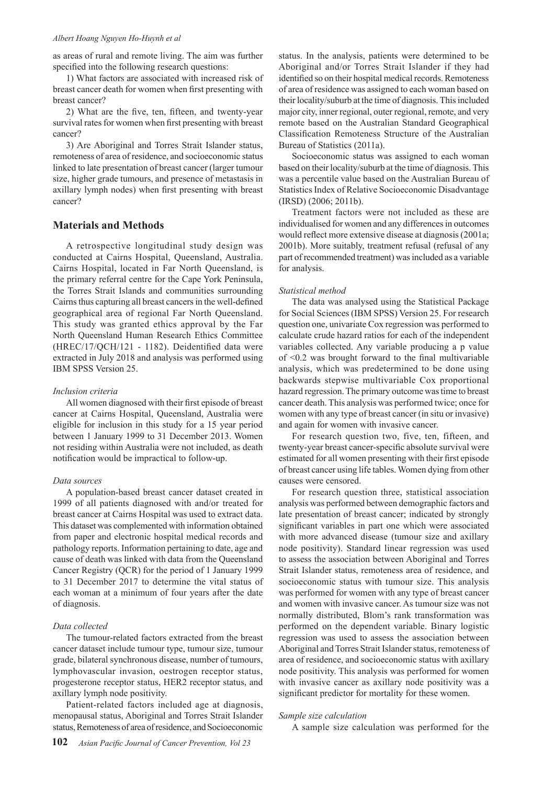#### *Albert Hoang Nguyen Ho-Huynh et al*

as areas of rural and remote living. The aim was further specified into the following research questions:

1) What factors are associated with increased risk of breast cancer death for women when first presenting with breast cancer?

2) What are the five, ten, fifteen, and twenty-year survival rates for women when first presenting with breast cancer?

3) Are Aboriginal and Torres Strait Islander status, remoteness of area of residence, and socioeconomic status linked to late presentation of breast cancer (larger tumour size, higher grade tumours, and presence of metastasis in axillary lymph nodes) when first presenting with breast cancer?

## **Materials and Methods**

A retrospective longitudinal study design was conducted at Cairns Hospital, Queensland, Australia. Cairns Hospital, located in Far North Queensland, is the primary referral centre for the Cape York Peninsula, the Torres Strait Islands and communities surrounding Cairns thus capturing all breast cancers in the well-defined geographical area of regional Far North Queensland. This study was granted ethics approval by the Far North Queensland Human Research Ethics Committee (HREC/17/QCH/121 - 1182). Deidentified data were extracted in July 2018 and analysis was performed using IBM SPSS Version 25.

#### *Inclusion criteria*

All women diagnosed with their first episode of breast cancer at Cairns Hospital, Queensland, Australia were eligible for inclusion in this study for a 15 year period between 1 January 1999 to 31 December 2013. Women not residing within Australia were not included, as death notification would be impractical to follow-up.

#### *Data sources*

A population-based breast cancer dataset created in 1999 of all patients diagnosed with and/or treated for breast cancer at Cairns Hospital was used to extract data. This dataset was complemented with information obtained from paper and electronic hospital medical records and pathology reports. Information pertaining to date, age and cause of death was linked with data from the Queensland Cancer Registry (QCR) for the period of 1 January 1999 to 31 December 2017 to determine the vital status of each woman at a minimum of four years after the date of diagnosis.

### *Data collected*

The tumour-related factors extracted from the breast cancer dataset include tumour type, tumour size, tumour grade, bilateral synchronous disease, number of tumours, lymphovascular invasion, oestrogen receptor status, progesterone receptor status, HER2 receptor status, and axillary lymph node positivity.

Patient-related factors included age at diagnosis, menopausal status, Aboriginal and Torres Strait Islander status, Remoteness of area of residence, and Socioeconomic

status. In the analysis, patients were determined to be Aboriginal and/or Torres Strait Islander if they had identified so on their hospital medical records. Remoteness of area of residence was assigned to each woman based on their locality/suburb at the time of diagnosis. This included major city, inner regional, outer regional, remote, and very remote based on the Australian Standard Geographical Classification Remoteness Structure of the Australian Bureau of Statistics (2011a).

Socioeconomic status was assigned to each woman based on their locality/suburb at the time of diagnosis. This was a percentile value based on the Australian Bureau of Statistics Index of Relative Socioeconomic Disadvantage (IRSD) (2006; 2011b).

Treatment factors were not included as these are individualised for women and any differences in outcomes would reflect more extensive disease at diagnosis (2001a; 2001b). More suitably, treatment refusal (refusal of any part of recommended treatment) was included as a variable for analysis.

#### *Statistical method*

The data was analysed using the Statistical Package for Social Sciences (IBM SPSS) Version 25. For research question one, univariate Cox regression was performed to calculate crude hazard ratios for each of the independent variables collected. Any variable producing a p value of <0.2 was brought forward to the final multivariable analysis, which was predetermined to be done using backwards stepwise multivariable Cox proportional hazard regression. The primary outcome was time to breast cancer death. This analysis was performed twice; once for women with any type of breast cancer (in situ or invasive) and again for women with invasive cancer.

For research question two, five, ten, fifteen, and twenty-year breast cancer-specific absolute survival were estimated for all women presenting with their first episode of breast cancer using life tables. Women dying from other causes were censored.

For research question three, statistical association analysis was performed between demographic factors and late presentation of breast cancer; indicated by strongly significant variables in part one which were associated with more advanced disease (tumour size and axillary node positivity). Standard linear regression was used to assess the association between Aboriginal and Torres Strait Islander status, remoteness area of residence, and socioeconomic status with tumour size. This analysis was performed for women with any type of breast cancer and women with invasive cancer. As tumour size was not normally distributed, Blom's rank transformation was performed on the dependent variable. Binary logistic regression was used to assess the association between Aboriginal and Torres Strait Islander status, remoteness of area of residence, and socioeconomic status with axillary node positivity. This analysis was performed for women with invasive cancer as axillary node positivity was a significant predictor for mortality for these women.

#### *Sample size calculation*

A sample size calculation was performed for the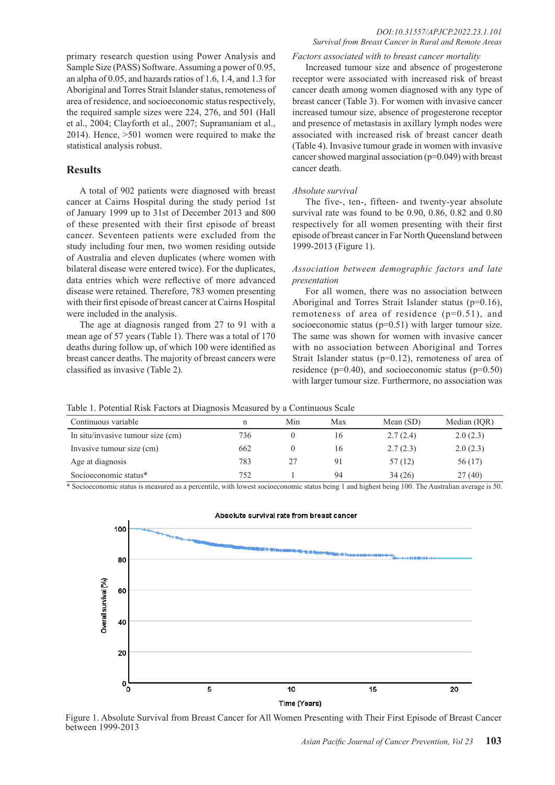primary research question using Power Analysis and Sample Size (PASS) Software. Assuming a power of 0.95, an alpha of 0.05, and hazards ratios of 1.6, 1.4, and 1.3 for Aboriginal and Torres Strait Islander status, remoteness of area of residence, and socioeconomic status respectively, the required sample sizes were 224, 276, and 501 (Hall et al., 2004; Clayforth et al., 2007; Supramaniam et al., 2014). Hence, >501 women were required to make the statistical analysis robust.

## **Results**

A total of 902 patients were diagnosed with breast cancer at Cairns Hospital during the study period 1st of January 1999 up to 31st of December 2013 and 800 of these presented with their first episode of breast cancer. Seventeen patients were excluded from the study including four men, two women residing outside of Australia and eleven duplicates (where women with bilateral disease were entered twice). For the duplicates, data entries which were reflective of more advanced disease were retained. Therefore, 783 women presenting with their first episode of breast cancer at Cairns Hospital were included in the analysis.

The age at diagnosis ranged from 27 to 91 with a mean age of 57 years (Table 1). There was a total of 170 deaths during follow up, of which 100 were identified as breast cancer deaths. The majority of breast cancers were classified as invasive (Table 2).

#### *Factors associated with to breast cancer mortality*

Increased tumour size and absence of progesterone receptor were associated with increased risk of breast cancer death among women diagnosed with any type of breast cancer (Table 3). For women with invasive cancer increased tumour size, absence of progesterone receptor and presence of metastasis in axillary lymph nodes were associated with increased risk of breast cancer death (Table 4). Invasive tumour grade in women with invasive cancer showed marginal association (p=0.049) with breast cancer death.

#### *Absolute survival*

The five-, ten-, fifteen- and twenty-year absolute survival rate was found to be 0.90, 0.86, 0.82 and 0.80 respectively for all women presenting with their first episode of breast cancer in Far North Queensland between 1999-2013 (Figure 1).

## *Association between demographic factors and late presentation*

For all women, there was no association between Aboriginal and Torres Strait Islander status (p=0.16), remoteness of area of residence (p=0.51), and socioeconomic status (p=0.51) with larger tumour size. The same was shown for women with invasive cancer with no association between Aboriginal and Torres Strait Islander status (p=0.12), remoteness of area of residence ( $p=0.40$ ), and socioeconomic status ( $p=0.50$ ) with larger tumour size. Furthermore, no association was

Table 1. Potential Risk Factors at Diagnosis Measured by a Continuous Scale

| Continuous variable               |     | Min | Max | Mean $(SD)$ | Median (IQR) |
|-----------------------------------|-----|-----|-----|-------------|--------------|
| In situ/invasive tumour size (cm) | 736 |     |     | 2.7(2.4)    | 2.0(2.3)     |
| Invasive tumour size (cm)         | 662 |     | 16  | 2.7(2.3)    | 2.0(2.3)     |
| Age at diagnosis                  | 783 |     | 91  | 57(12)      | 56 (17)      |
| Socioeconomic status*             | 752 |     | 94  | 34(26)      | 27(40)       |

\* Socioeconomic status is measured as a percentile, with lowest socioeconomic status being 1 and highest being 100. The Australian average is 50.



## Absolute survival rate from breast cancer

Figure 1. Absolute Survival from Breast Cancer for All Women Presenting with Their First Episode of Breast Cancer between 1999-2013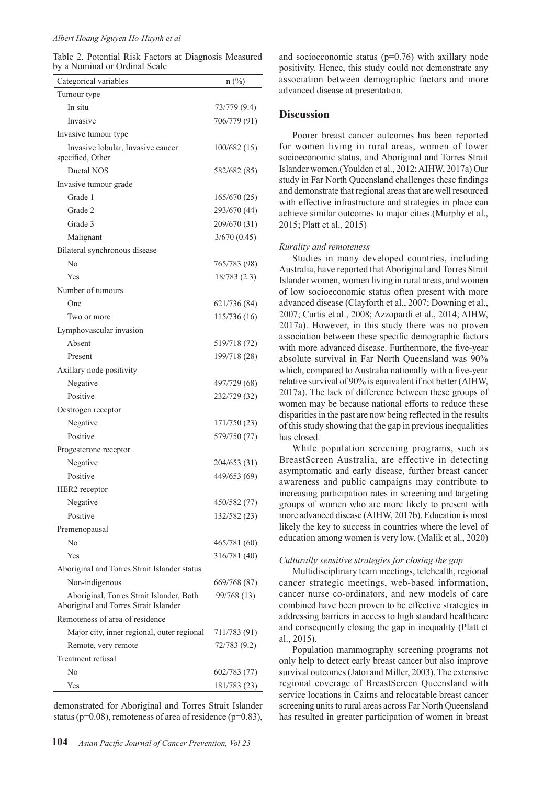#### *Albert Hoang Nguyen Ho-Huynh et al*

Table 2. Potential Risk Factors at Diagnosis Measured by a Nominal or Ordinal Scale

| Categorical variables                                                             | $n$ (%)      |
|-----------------------------------------------------------------------------------|--------------|
| Tumour type                                                                       |              |
| In situ                                                                           | 73/779 (9.4) |
| Invasive                                                                          | 706/779 (91) |
| Invasive tumour type                                                              |              |
| Invasive lobular, Invasive cancer<br>specified, Other                             | 100/682(15)  |
| Ductal NOS                                                                        | 582/682 (85) |
| Invasive tumour grade                                                             |              |
| Grade 1                                                                           | 165/670 (25) |
| Grade 2                                                                           | 293/670 (44) |
| Grade 3                                                                           | 209/670 (31) |
| Malignant                                                                         | 3/670(0.45)  |
| Bilateral synchronous disease                                                     |              |
| $\overline{N}$                                                                    | 765/783 (98) |
| Yes                                                                               | 18/783(2.3)  |
| Number of tumours                                                                 |              |
| One                                                                               | 621/736 (84) |
| Two or more                                                                       | 115/736 (16) |
| Lymphovascular invasion                                                           |              |
| Absent                                                                            | 519/718 (72) |
| Present                                                                           | 199/718 (28) |
| Axillary node positivity                                                          |              |
| Negative                                                                          | 497/729 (68) |
| Positive                                                                          | 232/729 (32) |
| Oestrogen receptor                                                                |              |
| Negative                                                                          | 171/750 (23) |
| Positive                                                                          | 579/750 (77) |
| Progesterone receptor                                                             |              |
| Negative                                                                          | 204/653 (31) |
| Positive                                                                          | 449/653 (69) |
| HER2 receptor                                                                     |              |
| Negative                                                                          | 450/582 (77) |
| Positive                                                                          | 132/582 (23) |
| Premenopausal                                                                     |              |
| No                                                                                | 465/781 (60) |
| Yes                                                                               | 316/781 (40) |
| Aboriginal and Torres Strait Islander status                                      |              |
| Non-indigenous                                                                    | 669/768 (87) |
| Aboriginal, Torres Strait Islander, Both<br>Aboriginal and Torres Strait Islander | 99/768 (13)  |
| Remoteness of area of residence                                                   |              |
| Major city, inner regional, outer regional                                        | 711/783 (91) |
| Remote, very remote                                                               | 72/783 (9.2) |
| Treatment refusal                                                                 |              |
| No                                                                                | 602/783 (77) |
| Yes                                                                               | 181/783 (23) |

demonstrated for Aboriginal and Torres Strait Islander status ( $p=0.08$ ), remoteness of area of residence ( $p=0.83$ ), and socioeconomic status  $(p=0.76)$  with axillary node positivity. Hence, this study could not demonstrate any association between demographic factors and more advanced disease at presentation.

## **Discussion**

Poorer breast cancer outcomes has been reported for women living in rural areas, women of lower socioeconomic status, and Aboriginal and Torres Strait Islander women.(Youlden et al., 2012; AIHW, 2017a) Our study in Far North Queensland challenges these findings and demonstrate that regional areas that are well resourced with effective infrastructure and strategies in place can achieve similar outcomes to major cities.(Murphy et al., 2015; Platt et al., 2015)

#### *Rurality and remoteness*

Studies in many developed countries, including Australia, have reported that Aboriginal and Torres Strait Islander women, women living in rural areas, and women of low socioeconomic status often present with more advanced disease (Clayforth et al., 2007; Downing et al., 2007; Curtis et al., 2008; Azzopardi et al., 2014; AIHW, 2017a). However, in this study there was no proven association between these specific demographic factors with more advanced disease. Furthermore, the five-year absolute survival in Far North Queensland was 90% which, compared to Australia nationally with a five-year relative survival of 90% is equivalent if not better (AIHW, 2017a). The lack of difference between these groups of women may be because national efforts to reduce these disparities in the past are now being reflected in the results of this study showing that the gap in previous inequalities has closed.

While population screening programs, such as BreastScreen Australia, are effective in detecting asymptomatic and early disease, further breast cancer awareness and public campaigns may contribute to increasing participation rates in screening and targeting groups of women who are more likely to present with more advanced disease (AIHW, 2017b). Education is most likely the key to success in countries where the level of education among women is very low. (Malik et al., 2020)

#### *Culturally sensitive strategies for closing the gap*

Multidisciplinary team meetings, telehealth, regional cancer strategic meetings, web-based information, cancer nurse co-ordinators, and new models of care combined have been proven to be effective strategies in addressing barriers in access to high standard healthcare and consequently closing the gap in inequality (Platt et al., 2015).

Population mammography screening programs not only help to detect early breast cancer but also improve survival outcomes (Jatoi and Miller, 2003). The extensive regional coverage of BreastScreen Queensland with service locations in Cairns and relocatable breast cancer screening units to rural areas across Far North Queensland has resulted in greater participation of women in breast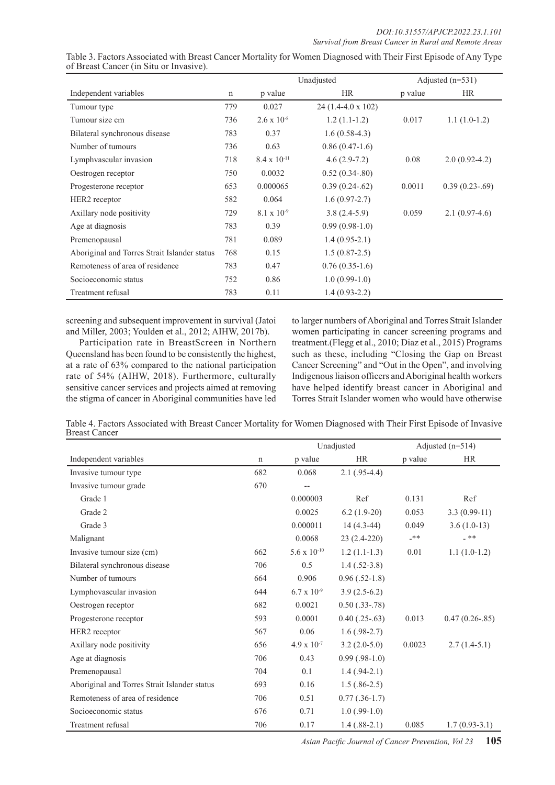|                                              |     | Unadjusted            |                    | Adjusted $(n=531)$ |                   |
|----------------------------------------------|-----|-----------------------|--------------------|--------------------|-------------------|
| Independent variables                        | n   | p value               | <b>HR</b>          | p value            | <b>HR</b>         |
| Tumour type                                  | 779 | 0.027                 | 24 (1.4-4.0 x 102) |                    |                   |
| Tumour size cm                               | 736 | $2.6 \times 10^{-8}$  | $1.2(1.1-1.2)$     | 0.017              | $1.1(1.0-1.2)$    |
| Bilateral synchronous disease                | 783 | 0.37                  | $1.6(0.58-4.3)$    |                    |                   |
| Number of tumours                            | 736 | 0.63                  | $0.86(0.47-1.6)$   |                    |                   |
| Lymphvascular invasion                       | 718 | $8.4 \times 10^{-11}$ | $4.6(2.9-7.2)$     | 0.08               | $2.0(0.92-4.2)$   |
| Oestrogen receptor                           | 750 | 0.0032                | $0.52(0.34-80)$    |                    |                   |
| Progesterone receptor                        | 653 | 0.000065              | $0.39(0.24-62)$    | 0.0011             | $0.39(0.23-0.69)$ |
| HER <sub>2</sub> receptor                    | 582 | 0.064                 | $1.6(0.97-2.7)$    |                    |                   |
| Axillary node positivity                     | 729 | $8.1 \times 10^{-9}$  | $3.8(2.4-5.9)$     | 0.059              | $2.1(0.97-4.6)$   |
| Age at diagnosis                             | 783 | 0.39                  | $0.99(0.98-1.0)$   |                    |                   |
| Premenopausal                                | 781 | 0.089                 | $1.4(0.95-2.1)$    |                    |                   |
| Aboriginal and Torres Strait Islander status | 768 | 0.15                  | $1.5(0.87-2.5)$    |                    |                   |
| Remoteness of area of residence              | 783 | 0.47                  | $0.76(0.35-1.6)$   |                    |                   |
| Socioeconomic status                         | 752 | 0.86                  | $1.0(0.99-1.0)$    |                    |                   |
| Treatment refusal                            | 783 | 0.11                  | $1.4(0.93-2.2)$    |                    |                   |

Table 3. Factors Associated with Breast Cancer Mortality for Women Diagnosed with Their First Episode of Any Type of Breast Cancer (in Situ or Invasive).

screening and subsequent improvement in survival (Jatoi and Miller, 2003; Youlden et al., 2012; AIHW, 2017b).

Participation rate in BreastScreen in Northern Queensland has been found to be consistently the highest, at a rate of 63% compared to the national participation rate of 54% (AIHW, 2018). Furthermore, culturally sensitive cancer services and projects aimed at removing the stigma of cancer in Aboriginal communities have led to larger numbers of Aboriginal and Torres Strait Islander women participating in cancer screening programs and treatment.(Flegg et al., 2010; Diaz et al., 2015) Programs such as these, including "Closing the Gap on Breast Cancer Screening" and "Out in the Open", and involving Indigenous liaison officers and Aboriginal health workers have helped identify breast cancer in Aboriginal and Torres Strait Islander women who would have otherwise

Table 4. Factors Associated with Breast Cancer Mortality for Women Diagnosed with Their First Episode of Invasive Breast Cancer

|                                              |             | Unadjusted            |                    | Adjusted $(n=514)$ |                   |
|----------------------------------------------|-------------|-----------------------|--------------------|--------------------|-------------------|
| Independent variables                        | $\mathbf n$ | p value               | <b>HR</b>          | p value            | <b>HR</b>         |
| Invasive tumour type                         | 682         | 0.068                 | $2.1(.95-4.4)$     |                    |                   |
| Invasive tumour grade                        | 670         | $-$                   |                    |                    |                   |
| Grade 1                                      |             | 0.000003              | Ref                | 0.131              | Ref               |
| Grade 2                                      |             | 0.0025                | $6.2(1.9-20)$      | 0.053              | $3.3(0.99-11)$    |
| Grade 3                                      |             | 0.000011              | $14(4.3-44)$       | 0.049              | $3.6(1.0-13)$     |
| Malignant                                    |             | 0.0068                | 23 (2.4-220)       | $***$              | _ **              |
| Invasive tumour size (cm)                    | 662         | $5.6 \times 10^{-10}$ | $1.2(1.1-1.3)$     | 0.01               | $1.1(1.0-1.2)$    |
| Bilateral synchronous disease                | 706         | 0.5                   | $1.4(0.52-3.8)$    |                    |                   |
| Number of tumours                            | 664         | 0.906                 | $0.96(.52-1.8)$    |                    |                   |
| Lymphovascular invasion                      | 644         | $6.7 \times 10^{-9}$  | $3.9(2.5-6.2)$     |                    |                   |
| Oestrogen receptor                           | 682         | 0.0021                | $0.50$ $(.33-.78)$ |                    |                   |
| Progesterone receptor                        | 593         | 0.0001                | $0.40$ $(.25-.63)$ | 0.013              | $0.47(0.26-0.85)$ |
| HER <sub>2</sub> receptor                    | 567         | 0.06                  | $1.6(.98-2.7)$     |                    |                   |
| Axillary node positivity                     | 656         | $4.9 \times 10^{-7}$  | $3.2(2.0-5.0)$     | 0.0023             | $2.7(1.4-5.1)$    |
| Age at diagnosis                             | 706         | 0.43                  | $0.99$ $(.98-1.0)$ |                    |                   |
| Premenopausal                                | 704         | 0.1                   | $1.4(.94-2.1)$     |                    |                   |
| Aboriginal and Torres Strait Islander status | 693         | 0.16                  | $1.5(.86-2.5)$     |                    |                   |
| Remoteness of area of residence              | 706         | 0.51                  | $0.77$ $(.36-1.7)$ |                    |                   |
| Socioeconomic status                         | 676         | 0.71                  | $1.0$ (.99-1.0)    |                    |                   |
| Treatment refusal                            | 706         | 0.17                  | $1.4(0.88-2.1)$    | 0.085              | $1.7(0.93-3.1)$   |

*Asian Pacific Journal of Cancer Prevention, Vol 23* **105**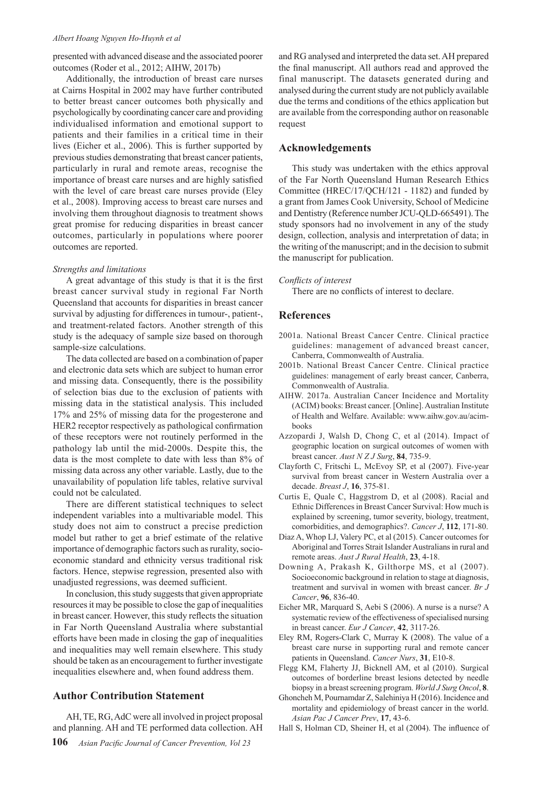#### *Albert Hoang Nguyen Ho-Huynh et al*

presented with advanced disease and the associated poorer outcomes (Roder et al., 2012; AIHW, 2017b)

Additionally, the introduction of breast care nurses at Cairns Hospital in 2002 may have further contributed to better breast cancer outcomes both physically and psychologically by coordinating cancer care and providing individualised information and emotional support to patients and their families in a critical time in their lives (Eicher et al., 2006). This is further supported by previous studies demonstrating that breast cancer patients, particularly in rural and remote areas, recognise the importance of breast care nurses and are highly satisfied with the level of care breast care nurses provide (Eley et al., 2008). Improving access to breast care nurses and involving them throughout diagnosis to treatment shows great promise for reducing disparities in breast cancer outcomes, particularly in populations where poorer outcomes are reported.

#### *Strengths and limitations*

A great advantage of this study is that it is the first breast cancer survival study in regional Far North Queensland that accounts for disparities in breast cancer survival by adjusting for differences in tumour-, patient-, and treatment-related factors. Another strength of this study is the adequacy of sample size based on thorough sample-size calculations.

The data collected are based on a combination of paper and electronic data sets which are subject to human error and missing data. Consequently, there is the possibility of selection bias due to the exclusion of patients with missing data in the statistical analysis. This included 17% and 25% of missing data for the progesterone and HER2 receptor respectively as pathological confirmation of these receptors were not routinely performed in the pathology lab until the mid-2000s. Despite this, the data is the most complete to date with less than 8% of missing data across any other variable. Lastly, due to the unavailability of population life tables, relative survival could not be calculated.

There are different statistical techniques to select independent variables into a multivariable model. This study does not aim to construct a precise prediction model but rather to get a brief estimate of the relative importance of demographic factors such as rurality, socioeconomic standard and ethnicity versus traditional risk factors. Hence, stepwise regression, presented also with unadjusted regressions, was deemed sufficient.

In conclusion, this study suggests that given appropriate resources it may be possible to close the gap of inequalities in breast cancer. However, this study reflects the situation in Far North Queensland Australia where substantial efforts have been made in closing the gap of inequalities and inequalities may well remain elsewhere. This study should be taken as an encouragement to further investigate inequalities elsewhere and, when found address them.

## **Author Contribution Statement**

AH, TE, RG, AdC were all involved in project proposal and planning. AH and TE performed data collection. AH

**106** *Asian Pacific Journal of Cancer Prevention, Vol 23*

and RG analysed and interpreted the data set. AH prepared the final manuscript. All authors read and approved the final manuscript. The datasets generated during and analysed during the current study are not publicly available due the terms and conditions of the ethics application but are available from the corresponding author on reasonable request

## **Acknowledgements**

This study was undertaken with the ethics approval of the Far North Queensland Human Research Ethics Committee (HREC/17/QCH/121 - 1182) and funded by a grant from James Cook University, School of Medicine and Dentistry (Reference number JCU-QLD-665491). The study sponsors had no involvement in any of the study design, collection, analysis and interpretation of data; in the writing of the manuscript; and in the decision to submit the manuscript for publication.

*Conflicts of interest*

There are no conflicts of interest to declare.

#### **References**

- 2001a. National Breast Cancer Centre. Clinical practice guidelines: management of advanced breast cancer, Canberra, Commonwealth of Australia.
- 2001b. National Breast Cancer Centre. Clinical practice guidelines: management of early breast cancer, Canberra, Commonwealth of Australia.
- AIHW. 2017a. Australian Cancer Incidence and Mortality (ACIM) books: Breast cancer. [Online]. Australian Institute of Health and Welfare. Available: www.aihw.gov.au/acimbooks
- Azzopardi J, Walsh D, Chong C, et al (2014). Impact of geographic location on surgical outcomes of women with breast cancer. *Aust N Z J Surg*, **84**, 735-9.
- Clayforth C, Fritschi L, McEvoy SP, et al (2007). Five-year survival from breast cancer in Western Australia over a decade. *Breast J*, **16**, 375-81.
- Curtis E, Quale C, Haggstrom D, et al (2008). Racial and Ethnic Differences in Breast Cancer Survival: How much is explained by screening, tumor severity, biology, treatment, comorbidities, and demographics?. *Cancer J*, **112**, 171-80.
- Diaz A, Whop LJ, Valery PC, et al (2015). Cancer outcomes for Aboriginal and Torres Strait Islander Australians in rural and remote areas. *Aust J Rural Health*, **23**, 4-18.
- Downing A, Prakash K, Gilthorpe MS, et al (2007). Socioeconomic background in relation to stage at diagnosis, treatment and survival in women with breast cancer. *Br J Cancer*, **96**, 836-40.
- Eicher MR, Marquard S, Aebi S (2006). A nurse is a nurse? A systematic review of the effectiveness of specialised nursing in breast cancer. *Eur J Cancer*, **42**, 3117-26.
- Eley RM, Rogers-Clark C, Murray K (2008). The value of a breast care nurse in supporting rural and remote cancer patients in Queensland. *Cancer Nurs*, **31**, E10-8.
- Flegg KM, Flaherty JJ, Bicknell AM, et al (2010). Surgical outcomes of borderline breast lesions detected by needle biopsy in a breast screening program. *World J Surg Oncol*, **8**.
- Ghoncheh M, Pournamdar Z, Salehiniya H (2016). Incidence and mortality and epidemiology of breast cancer in the world. *Asian Pac J Cancer Prev*, **17**, 43-6.
- Hall S, Holman CD, Sheiner H, et al (2004). The influence of